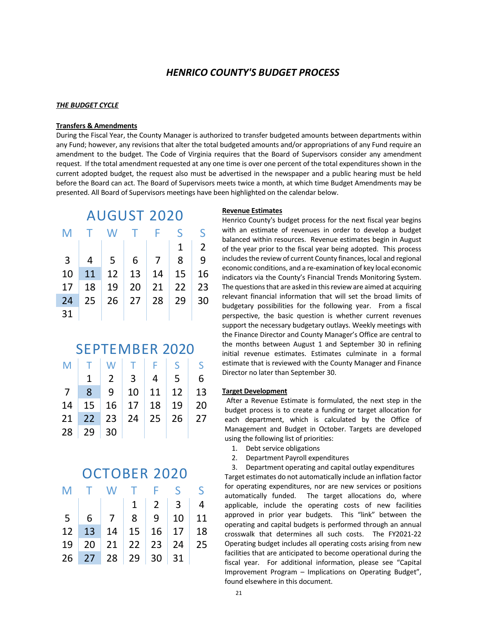### *HENRICO COUNTY'S BUDGET PROCESS*

### *THE BUDGET CYCLE*

#### **Transfers & Amendments**

During the Fiscal Year, the County Manager is authorized to transfer budgeted amounts between departments within any Fund; however, any revisions that alter the total budgeted amounts and/or appropriations of any Fund require an amendment to the budget. The Code of Virginia requires that the Board of Supervisors consider any amendment request. If the total amendment requested at any one time is over one percent of the total expenditures shown in the current adopted budget, the request also must be advertised in the newspaper and a public hearing must be held before the Board can act. The Board of Supervisors meets twice a month, at which time Budget Amendments may be presented. All Board of Supervisors meetings have been highlighted on the calendar below.

| <b>AUGUST 2020</b> |    |    |    |    |    |                |  |  |
|--------------------|----|----|----|----|----|----------------|--|--|
| M                  |    | W  | т  | F  | S  | S              |  |  |
|                    |    |    |    |    | 1  | $\overline{2}$ |  |  |
| 3                  | 4  | 5  | 6  | 7  | 8  | 9              |  |  |
| 10                 | 11 | 12 | 13 | 14 | 15 | 16             |  |  |
| 17                 | 18 | 19 | 20 | 21 | 22 | 23             |  |  |
| 24                 | 25 | 26 | 27 | 28 | 29 | 30             |  |  |
| 31                 |    |    |    |    |    |                |  |  |

### SEPTEMBER 2020

| M              |                |                | T   W   T   F   S   S              |                |                 |   |
|----------------|----------------|----------------|------------------------------------|----------------|-----------------|---|
|                |                | $\overline{2}$ | 3 <sup>o</sup>                     | $\overline{4}$ | $5\overline{)}$ | 6 |
| 7 <sup>7</sup> | 8 <sup>2</sup> | 9              | $10$ 11 12 13                      |                |                 |   |
|                |                |                | $14$   15   16   17   18   19   20 |                |                 |   |
|                |                |                | 21 22 23 24 25 26 27               |                |                 |   |
|                | $28 \mid 29$   | $\vert$ 30     |                                    |                |                 |   |

# OCTOBER 2020

| M              | $\mathbf{L}$ |                   |           | W T F S         |              | S.         |
|----------------|--------------|-------------------|-----------|-----------------|--------------|------------|
|                |              |                   | $1 \vert$ | 2 <sup>1</sup>  |              | $3 \mid 4$ |
| 5 <sup>1</sup> | 6            | 7 <sup>1</sup>    |           | $8 \mid 9 \mid$ | $10 \mid 11$ |            |
| 12             |              | 13 14 15 16 17 18 |           |                 |              |            |
| 19             |              | 20 21 22 23 24 25 |           |                 |              |            |
|                |              | 26 27 28 29 30 31 |           |                 |              |            |

### **Revenue Estimates**

Henrico County's budget process for the next fiscal year begins with an estimate of revenues in order to develop a budget balanced within resources. Revenue estimates begin in August of the year prior to the fiscal year being adopted. This process includes the review of current County finances, local and regional economic conditions, and a re-examination of key local economic indicators via the County's Financial Trends Monitoring System. The questions that are asked in this review are aimed at acquiring relevant financial information that will set the broad limits of budgetary possibilities for the following year. From a fiscal perspective, the basic question is whether current revenues support the necessary budgetary outlays. Weekly meetings with the Finance Director and County Manager's Office are central to the months between August 1 and September 30 in refining initial revenue estimates. Estimates culminate in a formal estimate that is reviewed with the County Manager and Finance Director no later than September 30.

#### **Target Development**

After a Revenue Estimate is formulated, the next step in the budget process is to create a funding or target allocation for each department, which is calculated by the Office of Management and Budget in October. Targets are developed using the following list of priorities:

- 1. Debt service obligations
- 2. Department Payroll expenditures
- 3. Department operating and capital outlay expenditures

Target estimates do not automatically include an inflation factor for operating expenditures, nor are new services or positions automatically funded. The target allocations do, where applicable, include the operating costs of new facilities approved in prior year budgets. This "link" between the operating and capital budgets is performed through an annual crosswalk that determines all such costs. The FY2021-22 Operating budget includes all operating costs arising from new facilities that are anticipated to become operational during the fiscal year. For additional information, please see "Capital Improvement Program – Implications on Operating Budget", found elsewhere in this document.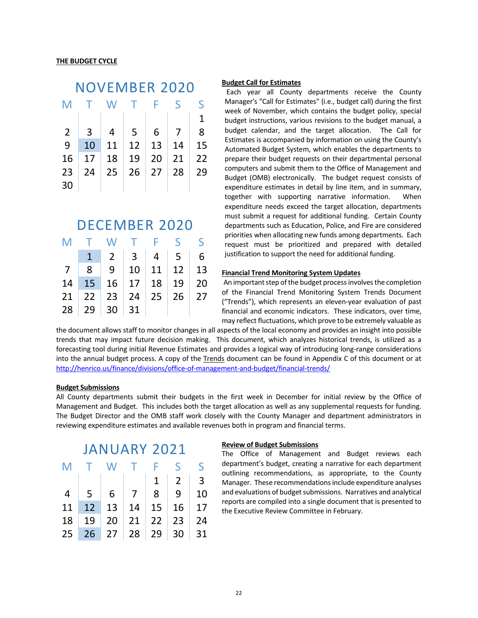| NOVEMBER 2020  |    |    |    |    |    |              |  |  |
|----------------|----|----|----|----|----|--------------|--|--|
| M              |    | W  | T. | F  | ς  | S            |  |  |
|                |    |    |    |    |    | $\mathbf{1}$ |  |  |
| $\overline{2}$ | 3  | 4  | -5 | 6  |    | 8            |  |  |
| 9              | 10 | 11 | 12 | 13 | 14 | 15           |  |  |
| 16             | 17 | 18 | 19 | 20 | 21 | 22           |  |  |
| 23             | 24 | 25 | 26 | 27 | 28 | 29           |  |  |
| 30             |    |    |    |    |    |              |  |  |

### DECEMBER 2020

| M              |        | TWTFSS                                               |    |                                 |  |
|----------------|--------|------------------------------------------------------|----|---------------------------------|--|
|                |        |                                                      |    | $2 \mid 3 \mid 4 \mid 5 \mid 6$ |  |
| 7 <sup>7</sup> | 8      |                                                      |    | 9   10   11   12   13           |  |
| 14             |        | 15 16 17 18 19 20                                    |    |                                 |  |
|                |        | $21 \mid 22 \mid 23 \mid 24 \mid 25 \mid 26 \mid 27$ |    |                                 |  |
| 28             | 29 $ $ | 30 <sup>1</sup>                                      | 31 |                                 |  |

### **Budget Call for Estimates**

Each year all County departments receive the County Manager's "Call for Estimates" (i.e., budget call) during the first week of November, which contains the budget policy, special budget instructions, various revisions to the budget manual, a budget calendar, and the target allocation. The Call for Estimates is accompanied by information on using the County's Automated Budget System, which enables the departments to prepare their budget requests on their departmental personal computers and submit them to the Office of Management and Budget (OMB) electronically. The budget request consists of expenditure estimates in detail by line item, and in summary, together with supporting narrative information. When expenditure needs exceed the target allocation, departments must submit a request for additional funding. Certain County departments such as Education, Police, and Fire are considered priorities when allocating new funds among departments. Each request must be prioritized and prepared with detailed justification to support the need for additional funding.

#### **Financial Trend Monitoring System Updates**

An important step of the budget process involves the completion of the Financial Trend Monitoring System Trends Document ("Trends"), which represents an eleven-year evaluation of past financial and economic indicators. These indicators, over time, may reflect fluctuations, which prove to be extremely valuable as

the document allows staff to monitor changes in all aspects of the local economy and provides an insight into possible trends that may impact future decision making. This document, which analyzes historical trends, is utilized as a forecasting tool during initial Revenue Estimates and provides a logical way of introducing long-range considerations into the annual budget process. A copy of the Trends document can be found in Appendix C of this document or at <http://henrico.us/finance/divisions/office-of-management-and-budget/financial-trends/>

#### **Budget Submissions**

All County departments submit their budgets in the first week in December for initial review by the Office of Management and Budget. This includes both the target allocation as well as any supplemental requests for funding. The Budget Director and the OMB staff work closely with the County Manager and department administrators in reviewing expenditure estimates and available revenues both in program and financial terms.

| <b>JANUARY 2021</b> |                 |                           |                 |                |                 |                |  |  |
|---------------------|-----------------|---------------------------|-----------------|----------------|-----------------|----------------|--|--|
| M                   | $\top$          | W T F                     |                 |                | S.              | S.             |  |  |
|                     |                 |                           |                 | 1              | $\vert$ 2       | $\overline{3}$ |  |  |
| $\overline{4}$      | $5\overline{)}$ | 6 <sup>1</sup>            | $7\overline{ }$ | 8 <sup>°</sup> | 9               | 10             |  |  |
| 11                  | 12              | $13 \mid 14 \mid 15 \mid$ |                 |                | 16              | 17             |  |  |
| 18                  | 19              |                           |                 | $20$ 21 22 23  |                 | 24             |  |  |
| 25 <sub>2</sub>     |                 | $26$ 27 28 29             |                 |                | 30 <sup>°</sup> | 31             |  |  |

#### **Review of Budget Submissions**

The Office of Management and Budget reviews each department's budget, creating a narrative for each department outlining recommendations, as appropriate, to the County Manager. These recommendations include expenditure analyses and evaluations of budget submissions. Narratives and analytical reports are compiled into a single document that is presented to the Executive Review Committee in February.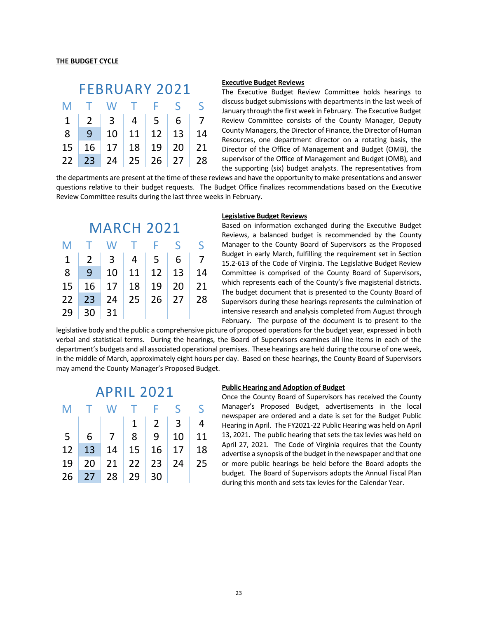### FEBRUARY 2021 M T W T F S S 1 2 3 4 5 6 7 8 9 10 11 12 13 14 15 16 17 18 19 20 21

22 23 24 25 26 27 28

### **Executive Budget Reviews**

The Executive Budget Review Committee holds hearings to discuss budget submissions with departments in the last week of January through the first week in February. The Executive Budget Review Committee consists of the County Manager, Deputy County Managers, the Director of Finance, the Director of Human Resources, one department director on a rotating basis, the Director of the Office of Management and Budget (OMB), the supervisor of the Office of Management and Budget (OMB), and the supporting (six) budget analysts. The representatives from

the departments are present at the time of these reviews and have the opportunity to make presentations and answer questions relative to their budget requests. The Budget Office finalizes recommendations based on the Executive Review Committee results during the last three weeks in February.

| <b>MARCH 2021</b> |                |            |    |                 |              |    |  |  |  |
|-------------------|----------------|------------|----|-----------------|--------------|----|--|--|--|
| M                 | T.             | W          |    | -F.             | $\varsigma$  | S  |  |  |  |
| $\mathbf{1}$      | $\overline{2}$ | $3 \mid 4$ |    | $5\overline{)}$ | 6            |    |  |  |  |
| 8                 | 9              | 10         | 11 | $\vert$ 12      | $\vert$ 13   | 14 |  |  |  |
| 15                | 16             | 17         | 18 | 19              | -20          | 21 |  |  |  |
| 22                | 23             | 24         | 25 |                 | $26 \mid 27$ | 28 |  |  |  |
| 29                | 30             | 31         |    |                 |              |    |  |  |  |

#### **Legislative Budget Reviews**

Based on information exchanged during the Executive Budget Reviews, a balanced budget is recommended by the County Manager to the County Board of Supervisors as the Proposed Budget in early March, fulfilling the requirement set in Section 15.2-613 of the Code of Virginia. The Legislative Budget Review Committee is comprised of the County Board of Supervisors, which represents each of the County's five magisterial districts. The budget document that is presented to the County Board of Supervisors during these hearings represents the culmination of intensive research and analysis completed from August through February. The purpose of the document is to present to the

legislative body and the public a comprehensive picture of proposed operations for the budget year, expressed in both verbal and statistical terms. During the hearings, the Board of Supervisors examines all line items in each of the department's budgets and all associated operational premises. These hearings are held during the course of one week, in the middle of March, approximately eight hours per day. Based on these hearings, the County Board of Supervisors may amend the County Manager's Proposed Budget.

### APRIL 2021

| M  |            | T W T F S                                    |                          | - S |
|----|------------|----------------------------------------------|--------------------------|-----|
|    |            |                                              | $1 \mid 2 \mid 3 \mid 4$ |     |
|    | $5 \mid 6$ | 7   8   9   10   11                          |                          |     |
| 12 |            | $13 \mid 14 \mid 15 \mid 16 \mid 17 \mid 18$ |                          |     |
| 19 |            | 20   21   22   23   24   25                  |                          |     |
|    |            | $26$ 27 28 29 30                             |                          |     |

### **Public Hearing and Adoption of Budget**

Once the County Board of Supervisors has received the County Manager's Proposed Budget, advertisements in the local newspaper are ordered and a date is set for the Budget Public Hearing in April. The FY2021-22 Public Hearing was held on April 13, 2021. The public hearing that sets the tax levies was held on April 27, 2021. The Code of Virginia requires that the County advertise a synopsis of the budget in the newspaper and that one or more public hearings be held before the Board adopts the budget. The Board of Supervisors adopts the Annual Fiscal Plan during this month and sets tax levies for the Calendar Year.